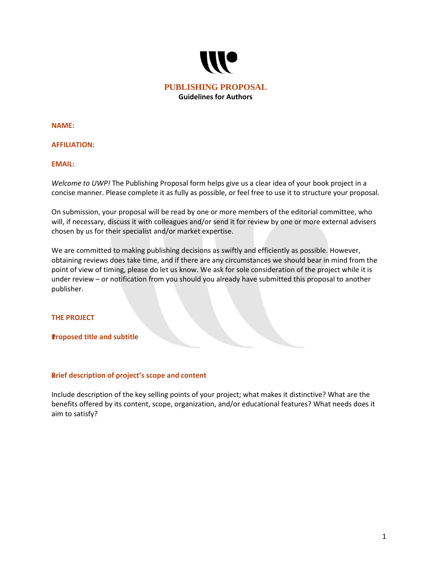

**NAME:** 

## **AFFILIATION:**

## **EMAIL:**

*Welcome to UWP!* The Publishing Proposal form helps give us a clear idea of your book project in a concise manner. Please complete it as fully as possible, or feel free to use it to structure your proposal.

On submission, your proposal will be read by one or more members of the editorial committee, who will, if necessary, discuss it with colleagues and/or send it for review by one or more external advisers chosen by us for their specialist and/or market expertise.

We are committed to making publishing decisions as swiftly and efficiently as possible. However, obtaining reviews does take time, and if there are any circumstances we should bear in mind from the point of view of timing, please do let us know. We ask for sole consideration of the project while it is under review – or notification from you should you already have submitted this proposal to another publisher.

## **THE PROJECT**

## **Proposed title and subtitle**

## **Brief description of project's scope and content**

Include description of the key selling points of your project; what makes it distinctive? What are the benefits offered by its content, scope, organization, and/or educational features? What needs does it aim to satisfy?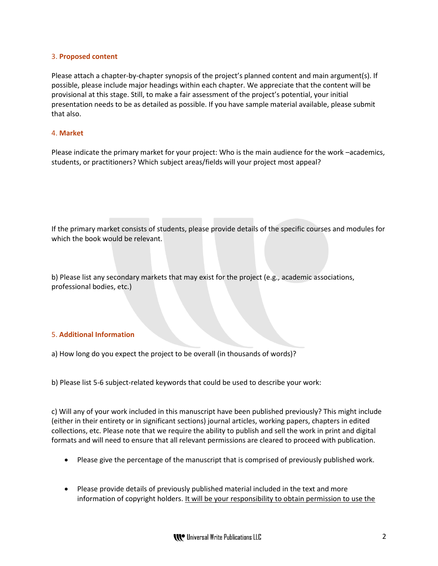## 3. **Proposed content**

Please attach a chapter-by-chapter synopsis of the project's planned content and main argument(s). If possible, please include major headings within each chapter. We appreciate that the content will be provisional at this stage. Still, to make a fair assessment of the project's potential, your initial presentation needs to be as detailed as possible. If you have sample material available, please submit that also.

## 4. **Market**

Please indicate the primary market for your project: Who is the main audience for the work –academics, students, or practitioners? Which subject areas/fields will your project most appeal?

If the primary market consists of students, please provide details of the specific courses and modules for which the book would be relevant.

b) Please list any secondary markets that may exist for the project (e.g., academic associations, professional bodies, etc.)

# 5. **Additional Information**

a) How long do you expect the project to be overall (in thousands of words)?

b) Please list 5-6 subject-related keywords that could be used to describe your work:

c) Will any of your work included in this manuscript have been published previously? This might include (either in their entirety or in significant sections) journal articles, working papers, chapters in edited collections, etc. Please note that we require the ability to publish and sell the work in print and digital formats and will need to ensure that all relevant permissions are cleared to proceed with publication.

- Please give the percentage of the manuscript that is comprised of previously published work.
- Please provide details of previously published material included in the text and more information of copyright holders. It will be your responsibility to obtain permission to use the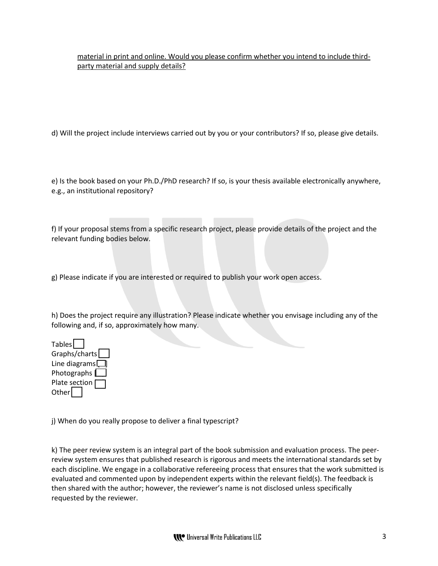material in print and online. Would you please confirm whether you intend to include thirdparty material and supply details?

d) Will the project include interviews carried out by you or your contributors? If so, please give details.

e) Is the book based on your Ph.D./PhD research? If so, is your thesis available electronically anywhere, e.g., an institutional repository?

f) If your proposal stems from a specific research project, please provide details of the project and the relevant funding bodies below.

g) Please indicate if you are interested or required to publish your work open access.

h) Does the project require any illustration? Please indicate whether you envisage including any of the following and, if so, approximately how many.

Tables Graphs/charts Line diagrams $\Box$ Photographs  $\square$ Plate section  $\Gamma$  $Other$ 

j) When do you really propose to deliver a final typescript?

k) The peer review system is an integral part of the book submission and evaluation process. The peerreview system ensures that published research is rigorous and meets the international standards set by each discipline. We engage in a collaborative refereeing process that ensures that the work submitted is evaluated and commented upon by independent experts within the relevant field(s). The feedback is then shared with the author; however, the reviewer's name is not disclosed unless specifically requested by the reviewer.